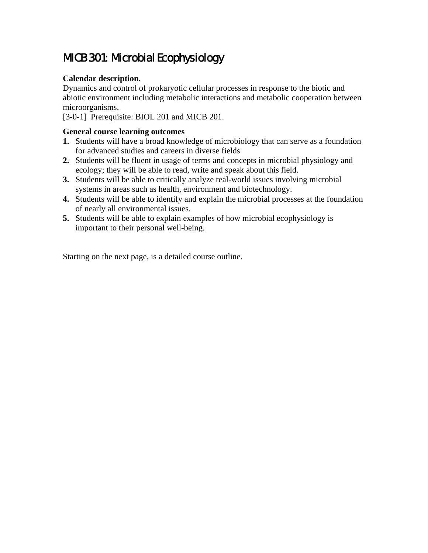# MICB 301: Microbial Ecophysiology

# **Calendar description.**

Dynamics and control of prokaryotic cellular processes in response to the biotic and abiotic environment including metabolic interactions and metabolic cooperation between microorganisms.

[3-0-1] Prerequisite: BIOL 201 and MICB 201.

## **General course learning outcomes**

- **1.** Students will have a broad knowledge of microbiology that can serve as a foundation for advanced studies and careers in diverse fields
- **2.** Students will be fluent in usage of terms and concepts in microbial physiology and ecology; they will be able to read, write and speak about this field.
- **3.** Students will be able to critically analyze real-world issues involving microbial systems in areas such as health, environment and biotechnology.
- **4.** Students will be able to identify and explain the microbial processes at the foundation of nearly all environmental issues.
- **5.** Students will be able to explain examples of how microbial ecophysiology is important to their personal well-being.

Starting on the next page, is a detailed course outline.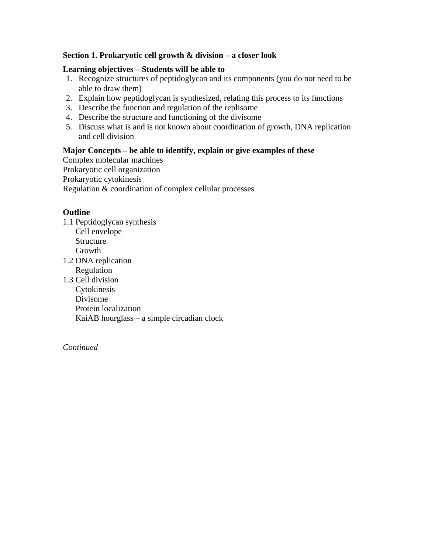## **Section 1. Prokaryotic cell growth & division – a closer look**

## **Learning objectives – Students will be able to**

- 1. Recognize structures of peptidoglycan and its components (you do not need to be able to draw them)
- 2. Explain how peptidoglycan is synthesized, relating this process to its functions
- 3. Describe the function and regulation of the replisome
- 4. Describe the structure and functioning of the divisome
- 5. Discuss what is and is not known about coordination of growth, DNA replication and cell division

## **Major Concepts – be able to identify, explain or give examples of these**

Complex molecular machines Prokaryotic cell organization Prokaryotic cytokinesis Regulation & coordination of complex cellular processes

## **Outline**

- 1.1 Peptidoglycan synthesis Cell envelope Structure Growth 1.2 DNA replication
- Regulation 1.3 Cell division Cytokinesis Divisome Protein localization KaiAB hourglass – a simple circadian clock

*Continued*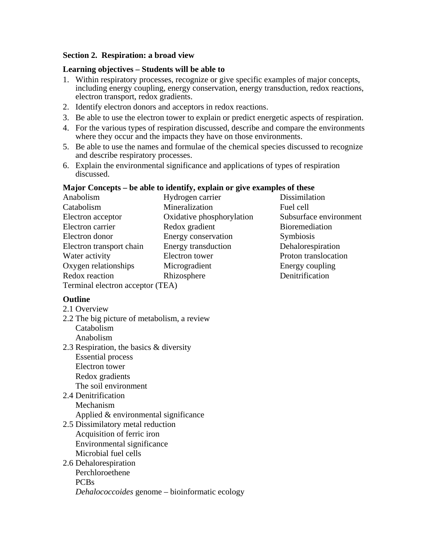## **Section 2. Respiration: a broad view**

#### **Learning objectives – Students will be able to**

- 1. Within respiratory processes, recognize or give specific examples of major concepts, including energy coupling, energy conservation, energy transduction, redox reactions, electron transport, redox gradients.
- 2. Identify electron donors and acceptors in redox reactions.
- 3. Be able to use the electron tower to explain or predict energetic aspects of respiration.
- 4. For the various types of respiration discussed, describe and compare the environments where they occur and the impacts they have on those environments.
- 5. Be able to use the names and formulae of the chemical species discussed to recognize and describe respiratory processes.
- 6. Explain the environmental significance and applications of types of respiration discussed.

## **Major Concepts – be able to identify, explain or give examples of these**

| Hydrogen carrier                 | Dissimilation          |
|----------------------------------|------------------------|
| Mineralization                   | Fuel cell              |
| Oxidative phosphorylation        | Subsurface environment |
| Redox gradient                   | <b>Bioremediation</b>  |
| Energy conservation              | Symbiosis              |
| Energy transduction              | Dehalorespiration      |
| Electron tower                   | Proton translocation   |
| Microgradient                    | Energy coupling        |
| Rhizosphere                      | Denitrification        |
| Terminal electron acceptor (TEA) |                        |
|                                  |                        |

## **Outline**

- 2.1 Overview
- 2.2 The big picture of metabolism, a review Catabolism Anabolism
- 2.3 Respiration, the basics & diversity Essential process Electron tower Redox gradients The soil environment
- 2.4 Denitrification Mechanism Applied & environmental significance
- 2.5 Dissimilatory metal reduction Acquisition of ferric iron Environmental significance Microbial fuel cells

## 2.6 Dehalorespiration Perchloroethene PCBs *Dehalococcoides* genome – bioinformatic ecology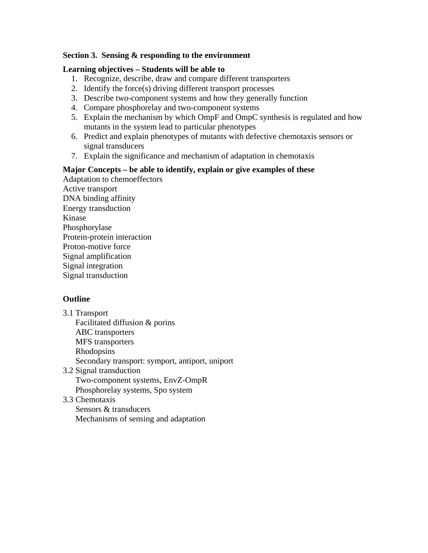## **Section 3. Sensing & responding to the environment**

## **Learning objectives – Students will be able to**

- 1. Recognize, describe, draw and compare different transporters
- 2. Identify the force(s) driving different transport processes
- 3. Describe two-component systems and how they generally function
- 4. Compare phosphorelay and two-component systems
- 5. Explain the mechanism by which OmpF and OmpC synthesis is regulated and how mutants in the system lead to particular phenotypes
- 6. Predict and explain phenotypes of mutants with defective chemotaxis sensors or signal transducers
- 7. Explain the significance and mechanism of adaptation in chemotaxis

## **Major Concepts – be able to identify, explain or give examples of these**

Adaptation to chemoeffectors Active transport DNA binding affinity Energy transduction Kinase Phosphorylase Protein-protein interaction Proton-motive force Signal amplification Signal integration Signal transduction

# **Outline**

- 3.1 Transport Facilitated diffusion & porins ABC transporters MFS transporters Rhodopsins Secondary transport: symport, antiport, uniport 3.2 Signal transduction Two-component systems, EnvZ-OmpR Phosphorelay systems, Spo system
- 3.3 Chemotaxis

Sensors & transducers Mechanisms of sensing and adaptation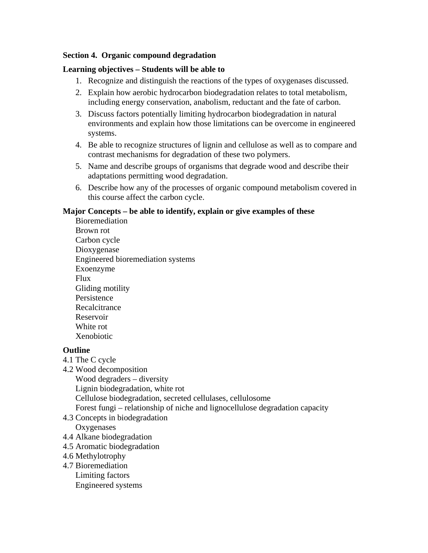## **Section 4. Organic compound degradation**

## **Learning objectives – Students will be able to**

- 1. Recognize and distinguish the reactions of the types of oxygenases discussed.
- 2. Explain how aerobic hydrocarbon biodegradation relates to total metabolism, including energy conservation, anabolism, reductant and the fate of carbon.
- 3. Discuss factors potentially limiting hydrocarbon biodegradation in natural environments and explain how those limitations can be overcome in engineered systems.
- 4. Be able to recognize structures of lignin and cellulose as well as to compare and contrast mechanisms for degradation of these two polymers.
- 5. Name and describe groups of organisms that degrade wood and describe their adaptations permitting wood degradation.
- 6. Describe how any of the processes of organic compound metabolism covered in this course affect the carbon cycle.

## **Major Concepts – be able to identify, explain or give examples of these**

Bioremediation Brown rot Carbon cycle Dioxygenase Engineered bioremediation systems Exoenzyme Flux Gliding motility Persistence **Recalcitrance** Reservoir White rot Xenobiotic

## **Outline**

- 4.1 The C cycle
- 4.2 Wood decomposition

Wood degraders – diversity Lignin biodegradation, white rot Cellulose biodegradation, secreted cellulases, cellulosome Forest fungi – relationship of niche and lignocellulose degradation capacity

- 4.3 Concepts in biodegradation **Oxygenases**
- 4.4 Alkane biodegradation
- 4.5 Aromatic biodegradation
- 4.6 Methylotrophy
- 4.7 Bioremediation Limiting factors Engineered systems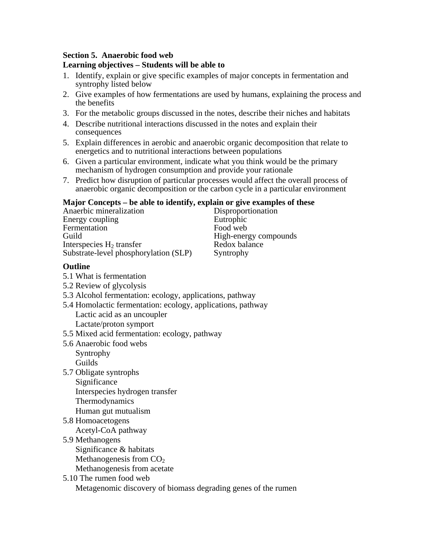## **Section 5. Anaerobic food web**

## **Learning objectives – Students will be able to**

- 1. Identify, explain or give specific examples of major concepts in fermentation and syntrophy listed below
- 2. Give examples of how fermentations are used by humans, explaining the process and the benefits
- 3. For the metabolic groups discussed in the notes, describe their niches and habitats
- 4. Describe nutritional interactions discussed in the notes and explain their consequences
- 5. Explain differences in aerobic and anaerobic organic decomposition that relate to energetics and to nutritional interactions between populations
- 6. Given a particular environment, indicate what you think would be the primary mechanism of hydrogen consumption and provide your rationale
- 7. Predict how disruption of particular processes would affect the overall process of anaerobic organic decomposition or the carbon cycle in a particular environment

#### **Major Concepts – be able to identify, explain or give examples of these**

| Anaerbic mineralization               |
|---------------------------------------|
| Energy coupling                       |
| Fermentation                          |
| Guild                                 |
| Interspecies $H_2$ transfer           |
| Substrate-level phosphorylation (SLP) |

Disproportionation Eutrophic Food web High-energy compounds Redox balance Syntrophy

## **Outline**

- 5.1 What is fermentation
- 5.2 Review of glycolysis
- 5.3 Alcohol fermentation: ecology, applications, pathway
- 5.4 Homolactic fermentation: ecology, applications, pathway Lactic acid as an uncoupler Lactate/proton symport
- 5.5 Mixed acid fermentation: ecology, pathway
- 5.6 Anaerobic food webs Syntrophy Guilds
- 5.7 Obligate syntrophs

Significance Interspecies hydrogen transfer Thermodynamics Human gut mutualism

- 5.8 Homoacetogens
- Acetyl-CoA pathway 5.9 Methanogens
	- Significance & habitats Methanogenesis from  $CO<sub>2</sub>$ Methanogenesis from acetate
- 5.10 The rumen food web Metagenomic discovery of biomass degrading genes of the rumen